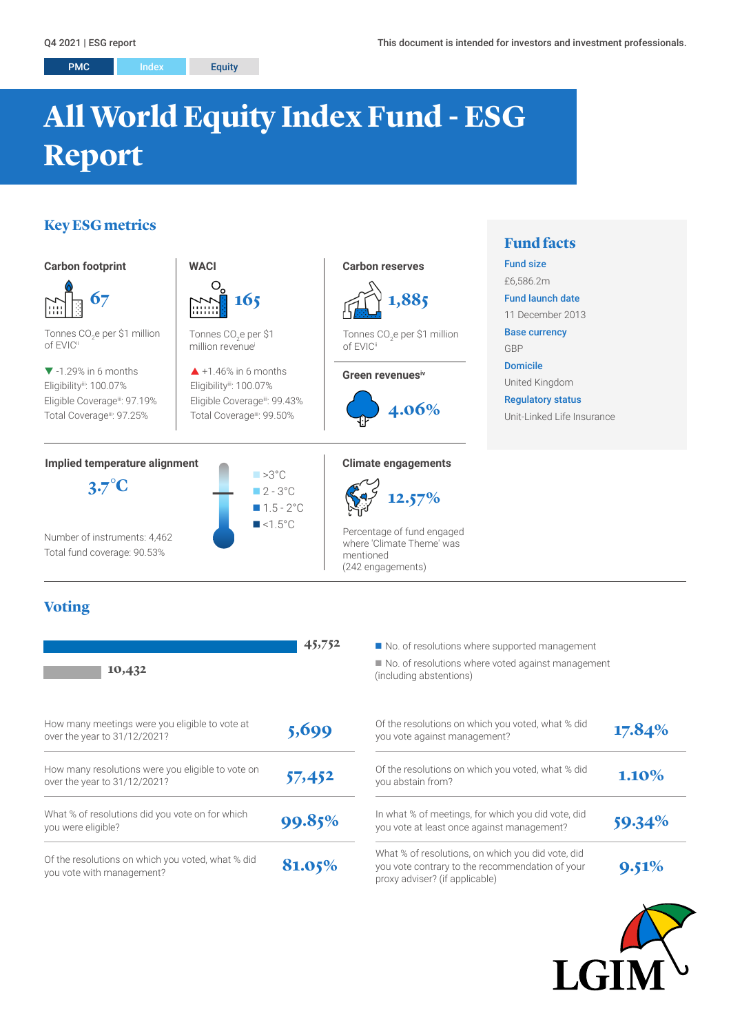# **All World Equity Index Fund - ESG Report**

# **Key ESG metrics**



# **Voting**

| 10,432                                                                            | 45,752 | No. of resolutions where supported managemer<br>No. of resolutions where voted against manage<br>(including abstentions)               |
|-----------------------------------------------------------------------------------|--------|----------------------------------------------------------------------------------------------------------------------------------------|
| How many meetings were you eligible to vote at<br>over the year to 31/12/2021?    | 5,699  | Of the resolutions on which you voted, what % did<br>you vote against management?                                                      |
| How many resolutions were you eligible to vote on<br>over the year to 31/12/2021? | 57,452 | Of the resolutions on which you voted, what % did<br>you abstain from?                                                                 |
| What % of resolutions did you vote on for which<br>you were eligible?             | 99.85% | In what % of meetings, for which you did vote, did<br>you vote at least once against management?                                       |
| Of the resolutions on which you voted, what % did<br>you vote with management?    | 81.05% | What % of resolutions, on which you did vote, did<br>you vote contrary to the recommendation of your<br>proxy adviser? (if applicable) |

 $\blacksquare$  No. of resolutions where voted against management (including abstentions)

|      | Of the resolutions on which you voted, what % did<br>you vote against management?                                                      | 17.84% |
|------|----------------------------------------------------------------------------------------------------------------------------------------|--------|
|      | Of the resolutions on which you voted, what % did<br>you abstain from?                                                                 | 1.10%  |
| $\%$ | In what % of meetings, for which you did vote, did<br>you vote at least once against management?                                       | 59.34% |
| 6    | What % of resolutions, on which you did vote, did<br>you vote contrary to the recommendation of your<br>proxy adviser? (if applicable) | 9.51%  |

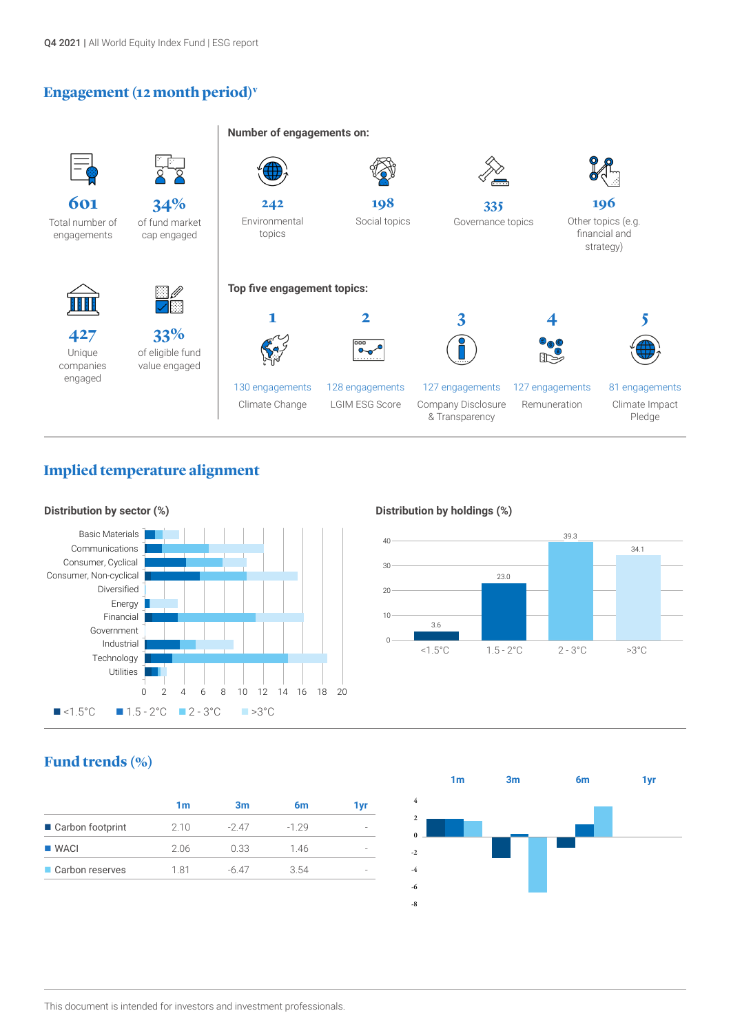## **Engagement (12 month period)v**



# **Implied temperature alignment**



### **Distribution by holdings (%)**



# **Fund trends (%)**

| 1m   | 3m    | 6m      | 1 yr |
|------|-------|---------|------|
| 2.10 | -247  | $-1.29$ |      |
| 2.06 | 0.33  | 1.46    |      |
| 181  | -6.47 | 3.54    |      |
|      |       |         |      |

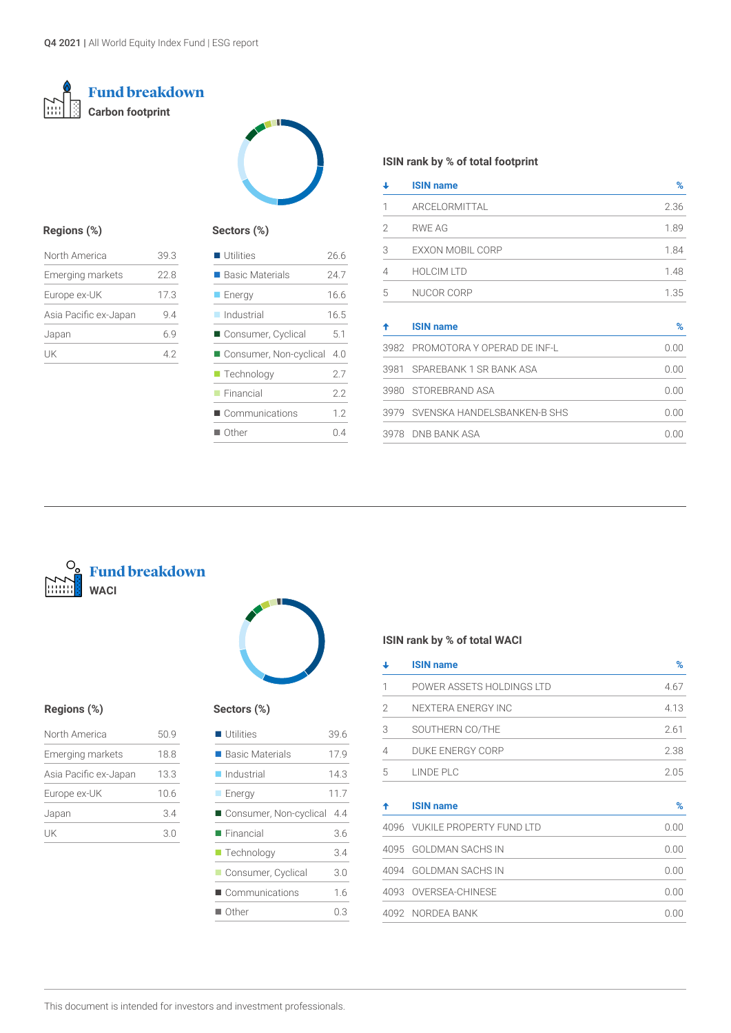### **Fund breakdown**  $\sum$ **Carbon footprint**



### **Regions (%)**

| North America           | 39.3 |
|-------------------------|------|
| <b>Emerging markets</b> | 22.8 |
| Europe ex-UK            | 17.3 |
| Asia Pacific ex-Japan   | 94   |
| Japan                   | 69   |
| l IK                    | 42   |

### **Sectors (%)**

| 24 7 |
|------|
|      |
| 16.6 |
| 16.5 |
| 5.1  |
| 4.0  |
| 2.7  |
| 2.2  |
| 12   |
| 04   |
|      |

### **ISIN rank by % of total footprint**

| ┹                        | <b>ISIN name</b>                 | ℅    |
|--------------------------|----------------------------------|------|
| 1                        | <b>ARCELORMITTAL</b>             | 2.36 |
| $\overline{\phantom{a}}$ | RWE AG                           | 1.89 |
| 3                        | EXXON MOBIL CORP                 | 1.84 |
| 4                        | <b>HOLCIM LTD</b>                | 1.48 |
| 5                        | NUCOR CORP                       | 1.35 |
|                          |                                  |      |
| ♠                        | <b>ISIN name</b>                 | $\%$ |
| 3982                     | PROMOTORA Y OPERAD DE INF-L      | 0.00 |
| 3981                     | SPAREBANK 1 SR BANK ASA          | 0.00 |
| 3980                     | STOREBRAND ASA                   | 0.00 |
|                          | 3979 SVENSKA HANDELSBANKEN-B SHS | 0.00 |

3978 DNB BANK ASA 0.00

# **Fund breakdown WACI**



### **Regions (%) Sectors (%)**

| 50.9 |
|------|
| 18.8 |
| 13.3 |
| 10.6 |
| 34   |
| 3.0  |
|      |

| <b>Utilities</b>          | 39 6 |
|---------------------------|------|
| ■ Basic Materials         | 17.9 |
| $\blacksquare$ Industrial | 14.3 |
| <b>Energy</b>             | 11.7 |
| ■ Consumer, Non-cyclical  | -4.4 |
| $\blacksquare$ Financial  | 3.6  |
| $\blacksquare$ Technology | 3.4  |
| Consumer, Cyclical        | 3.0  |
| Communications            | 1.6  |
| $\blacksquare$ Other      | 0.3  |

### **ISIN rank by % of total WACI**

| ┹              | <b>ISIN name</b>              | %    |
|----------------|-------------------------------|------|
| 1              | POWER ASSETS HOLDINGS LTD     | 4.67 |
| 2              | NEXTERA ENERGY INC            | 4.13 |
| 3              | SOUTHERN CO/THE               | 2.61 |
| $\overline{4}$ | DUKE ENERGY CORP              | 2.38 |
| 5              | LINDE PLC                     | 2.05 |
|                | <b>ISIN name</b>              | %    |
|                | 4096 VUKILE PROPERTY FUND LTD | 0.00 |
|                | 4095 GOLDMAN SACHS IN         | 0.00 |
| 4094           | <b>GOLDMAN SACHS IN</b>       | 0.00 |
|                | 4093 OVERSEA-CHINESE          | 0.00 |
|                |                               |      |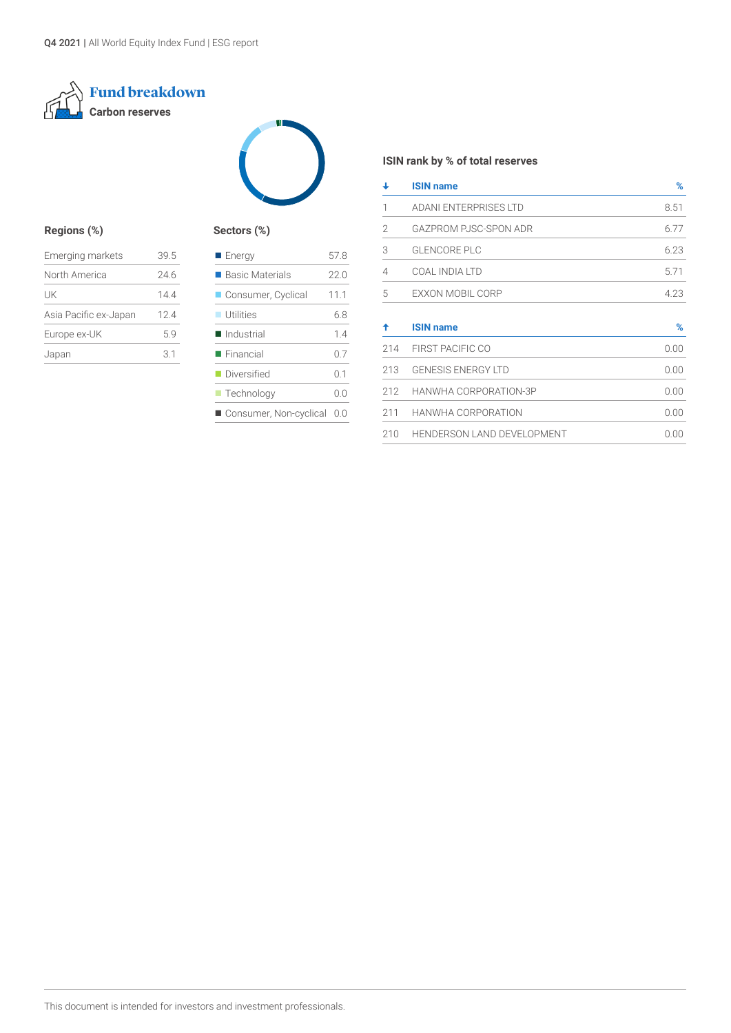



### **Regions (%) Sectors (%)**

| <b>Emerging markets</b> | 39.5 |
|-------------------------|------|
| North America           | 24.6 |
| UK                      | 144  |
| Asia Pacific ex-Japan   | 124  |
| Europe ex-UK            | 59   |
| Japan                   | 31   |

| <b>Energy</b>              | 57.8 |
|----------------------------|------|
| ■ Basic Materials          | 22.0 |
| Consumer, Cyclical         | 11.1 |
| $\blacksquare$ Utilities   | 6.8  |
| Industrial                 | 1.4  |
| $\blacksquare$ Financial   | 0.7  |
| Diversified                | 0.1  |
| $\blacksquare$ Technology  | 0.0  |
| Consumer, Non-cyclical 0.0 |      |
|                            |      |

### **ISIN rank by % of total reserves**

| ┹   | <b>ISIN name</b>                  | %    |
|-----|-----------------------------------|------|
| 1   | <b>ADANI ENTERPRISES LTD</b>      | 8.51 |
| 2   | GAZPROM PJSC-SPON ADR             | 6.77 |
| 3   | <b>GLENCORE PLC</b>               | 6.23 |
| 4   | COAL INDIA LTD                    | 5.71 |
| 5   | EXXON MOBIL CORP                  | 4.23 |
| ♠   | <b>ISIN name</b>                  | $\%$ |
| 214 | FIRST PACIFIC CO                  | 0.00 |
| 213 | <b>GENESIS ENERGY LTD</b>         | 0.00 |
| 212 | HANWHA CORPORATION-3P             | 0.00 |
| 211 | HANWHA CORPORATION                | 0.00 |
| 210 | <b>HENDERSON LAND DEVELOPMENT</b> | 0.00 |